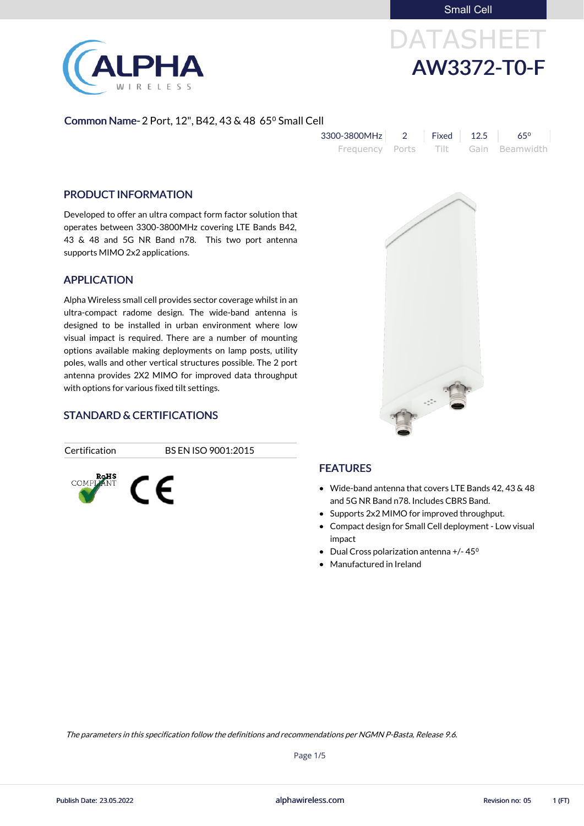Small Cell



# DATASHEET AW3372-T0-F

#### Common Name- 2 Port, 12", B42, 43 & 48 65° Small Cell

| 3300-3800MHz    | $Fixed$ 12.5 | 650                 |
|-----------------|--------------|---------------------|
| Frequency Ports |              | Tilt Gain Beamwidth |

#### PRODUCT INFORMATION

Developed to offer an ultra compact form factor solution that operates between 3300-3800MHz covering LTE Bands B42, 43 & 48 and 5G NR Band n78. This two port antenna supports MIMO 2x2 applications.

#### APPLICATION

Alpha Wireless small cell provides sector coverage whilst in an ultra-compact radome design. The wide-band antenna is designed to be installed in urban environment where low visual impact is required. There are a number of mounting options available making deployments on lamp posts, utility poles, walls and other vertical structures possible. The 2 port antenna provides 2X2 MIMO for improved data throughput with options for various fixed tilt settings.

## STANDARD & CERTIFICATIONS



Certification BS EN ISO 9001:2015

### FEATURES

- Wide-band antenna that covers LTE Bands 42, 43 & 48 and 5G NR Band n78. Includes CBRS Band.
- Supports 2x2 MIMO for improved throughput.
- Compact design for Small Cell deployment Low visual impact
- Dual Cross polarization antenna  $+/- 45^{\circ}$
- Manufactured in Ireland



alphawireless.com

Page 1/5

The parameters in this specification follow the definitions and recommendations per NGMN P-Basta, Release 9.6.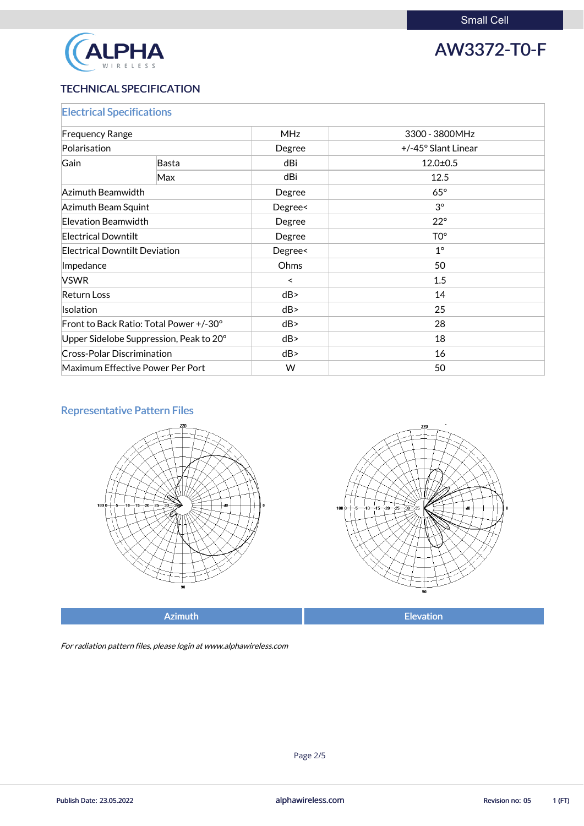

# AW3372-T0-F

#### TECHNICAL SPECIFICATION

| <b>Electrical Specifications</b>        |                                  |            |                     |  |
|-----------------------------------------|----------------------------------|------------|---------------------|--|
| <b>Frequency Range</b>                  |                                  | <b>MHz</b> | 3300 - 3800MHz      |  |
| Polarisation                            |                                  | Degree     | +/-45° Slant Linear |  |
| Gain<br>Basta                           |                                  | dBi        | $12.0 \pm 0.5$      |  |
|                                         | Max                              | dBi        | 12.5                |  |
| Azimuth Beamwidth                       |                                  | Degree     | $65^\circ$          |  |
| Azimuth Beam Squint                     |                                  | Degree<    | $3^{\circ}$         |  |
| <b>Elevation Beamwidth</b>              |                                  | Degree     | $22^{\circ}$        |  |
| <b>Electrical Downtilt</b>              |                                  | Degree     | TO <sup>o</sup>     |  |
| <b>Electrical Downtilt Deviation</b>    |                                  | Degree<    | $1^{\circ}$         |  |
| Impedance                               |                                  | Ohms       | 50                  |  |
| <b>VSWR</b>                             |                                  | $\prec$    | 1.5                 |  |
| <b>Return Loss</b>                      |                                  | dB         | 14                  |  |
| Isolation                               |                                  | dB         | 25                  |  |
| Front to Back Ratio: Total Power +/-30° |                                  | dB         | 28                  |  |
| Upper Sidelobe Suppression, Peak to 20° |                                  | dB         | 18                  |  |
| <b>Cross-Polar Discrimination</b>       |                                  | dB         | 16                  |  |
|                                         | Maximum Effective Power Per Port | W          | 50                  |  |

#### Representative Pattern Files





Azimuth **Elevation** 

For radiation pattern files, please login at www.alphawireless.com

alphawireless.com

Publish Date: 23.05.2022 **Revision no: 05** 1 (FT)

Page 2/5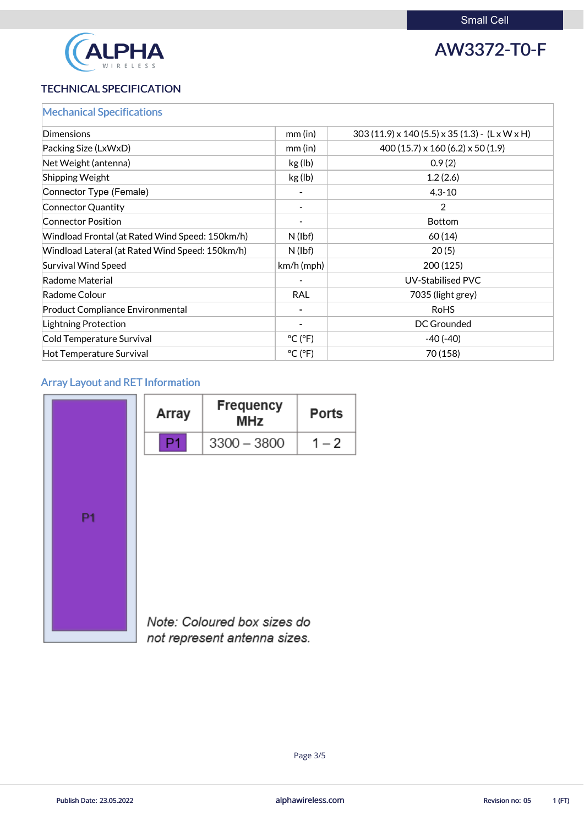

# AW3372-T0-F

### TECHNICAL SPECIFICATION

|  | <b>Mechanical Specifications</b> |  |
|--|----------------------------------|--|
|  |                                  |  |
|  |                                  |  |

| <b>Dimensions</b>                               | mm (in)                      | $303(11.9) \times 140(5.5) \times 35(1.3)$ - (L x W x H) |
|-------------------------------------------------|------------------------------|----------------------------------------------------------|
| Packing Size (LxWxD)                            | $mm$ (in)                    | $400(15.7) \times 160(6.2) \times 50(1.9)$               |
| Net Weight (antenna)                            | kg (lb)                      | 0.9(2)                                                   |
| <b>Shipping Weight</b>                          | kg (lb)                      | 1.2(2.6)                                                 |
| Connector Type (Female)                         |                              | $4.3 - 10$                                               |
| Connector Quantity                              |                              | 2                                                        |
| <b>Connector Position</b>                       |                              | <b>Bottom</b>                                            |
| Windload Frontal (at Rated Wind Speed: 150km/h) | N(lbf)                       | 60(14)                                                   |
| Windload Lateral (at Rated Wind Speed: 150km/h) | $N$ (lbf)                    | 20(5)                                                    |
| Survival Wind Speed                             | $km/h$ (mph)                 | 200(125)                                                 |
| Radome Material                                 |                              | <b>UV-Stabilised PVC</b>                                 |
| Radome Colour                                   | <b>RAL</b>                   | 7035 (light grey)                                        |
| <b>Product Compliance Environmental</b>         |                              | <b>RoHS</b>                                              |
| Lightning Protection                            |                              | <b>DC Grounded</b>                                       |
| Cold Temperature Survival                       | $^{\circ}$ C ( $^{\circ}$ F) | $-40(-40)$                                               |
| Hot Temperature Survival                        | $^{\circ}$ C ( $^{\circ}$ F) | 70 (158)                                                 |

### Array Layout and RET Information

|                | <b>Array</b> | <b>Frequency</b><br><b>MHz</b> | <b>Ports</b> |
|----------------|--------------|--------------------------------|--------------|
|                |              | $3300 - 3800$                  | $1 - 2$      |
|                |              |                                |              |
| P <sub>1</sub> |              |                                |              |
|                |              |                                |              |
|                |              | Note: Coloured box sizes do    |              |



1 V

not represent antenna sizes.

alphawireless.com

Publish Date: 23.05.2022 **Revision no: 05** 1 (FT)

Page 3/5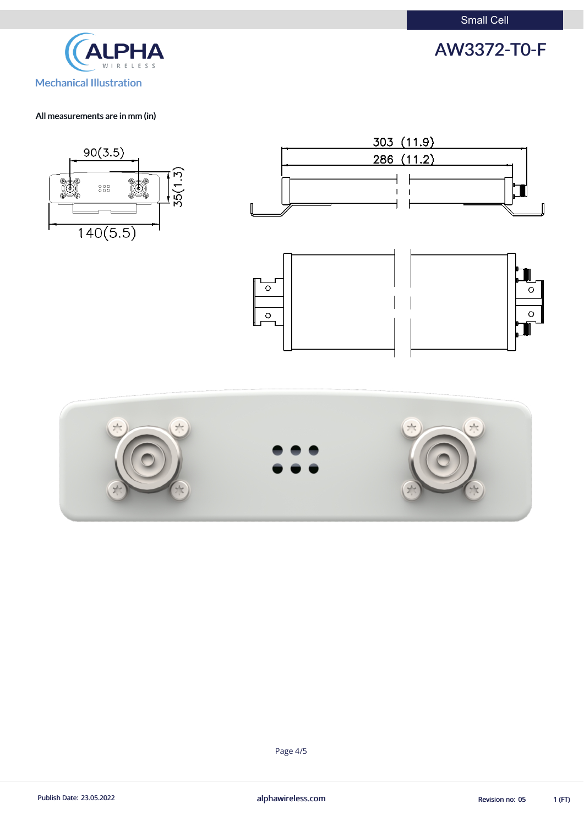Small Cell





#### All measurements are in mm (in)







Page 4/5